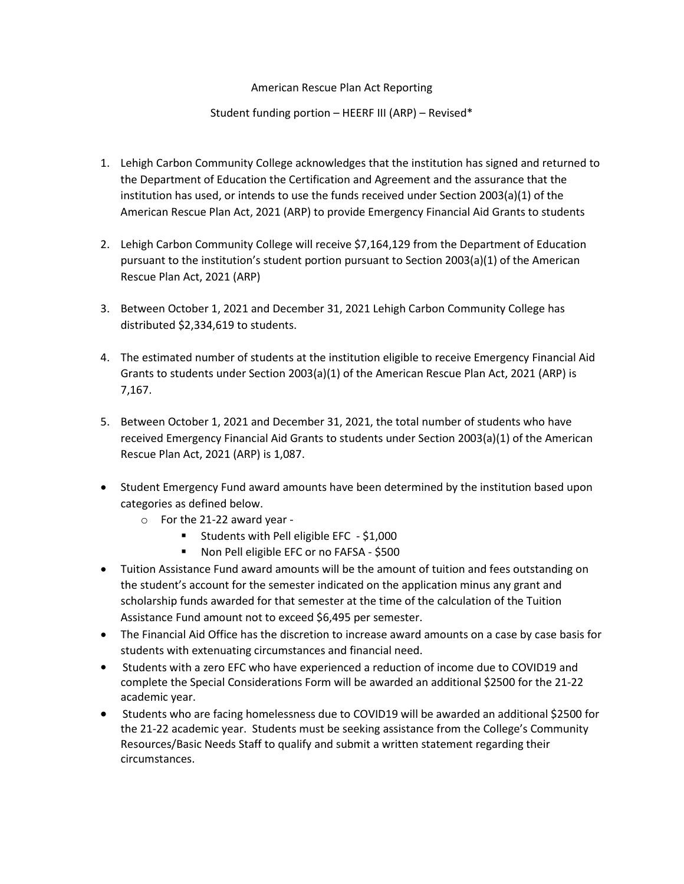## American Rescue Plan Act Reporting

## Student funding portion – HEERF III (ARP) – Revised\*

- 1. Lehigh Carbon Community College acknowledges that the institution has signed and returned to the Department of Education the Certification and Agreement and the assurance that the institution has used, or intends to use the funds received under Section 2003(a)(1) of the American Rescue Plan Act, 2021 (ARP) to provide Emergency Financial Aid Grants to students
- 2. Lehigh Carbon Community College will receive \$7,164,129 from the Department of Education pursuant to the institution's student portion pursuant to Section 2003(a)(1) of the American Rescue Plan Act, 2021 (ARP)
- 3. Between October 1, 2021 and December 31, 2021 Lehigh Carbon Community College has distributed \$2,334,619 to students.
- 4. The estimated number of students at the institution eligible to receive Emergency Financial Aid Grants to students under Section 2003(a)(1) of the American Rescue Plan Act, 2021 (ARP) is 7,167.
- 5. Between October 1, 2021 and December 31, 2021, the total number of students who have received Emergency Financial Aid Grants to students under Section 2003(a)(1) of the American Rescue Plan Act, 2021 (ARP) is 1,087.
- Student Emergency Fund award amounts have been determined by the institution based upon categories as defined below.
	- o For the 21-22 award year
		- **Students with Pell eligible EFC \$1,000**
		- Non Pell eligible EFC or no FAFSA \$500
- Tuition Assistance Fund award amounts will be the amount of tuition and fees outstanding on the student's account for the semester indicated on the application minus any grant and scholarship funds awarded for that semester at the time of the calculation of the Tuition Assistance Fund amount not to exceed \$6,495 per semester.
- The Financial Aid Office has the discretion to increase award amounts on a case by case basis for students with extenuating circumstances and financial need.
- Students with a zero EFC who have experienced a reduction of income due to COVID19 and complete the Special Considerations Form will be awarded an additional \$2500 for the 21-22 academic year.
- Students who are facing homelessness due to COVID19 will be awarded an additional \$2500 for the 21-22 academic year. Students must be seeking assistance from the College's Community Resources/Basic Needs Staff to qualify and submit a written statement regarding their circumstances.